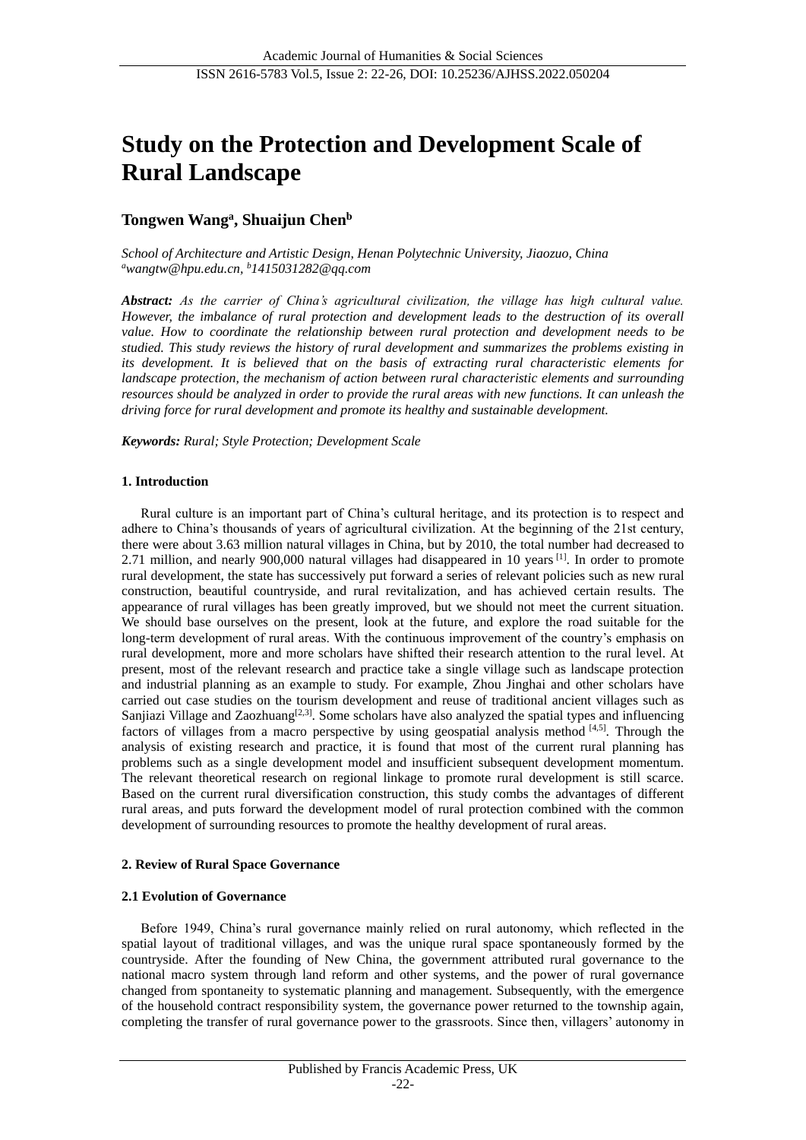# **Study on the Protection and Development Scale of Rural Landscape**

## **Tongwen Wang<sup>a</sup> , Shuaijun Chen<sup>b</sup>**

*School of Architecture and Artistic Design, Henan Polytechnic University, Jiaozuo, China <sup>a</sup>wangtw@hpu.edu.cn, <sup>b</sup>1415031282@qq.com*

*Abstract: As the carrier of China's agricultural civilization, the village has high cultural value. However, the imbalance of rural protection and development leads to the destruction of its overall value. How to coordinate the relationship between rural protection and development needs to be studied. This study reviews the history of rural development and summarizes the problems existing in its development. It is believed that on the basis of extracting rural characteristic elements for landscape protection, the mechanism of action between rural characteristic elements and surrounding resources should be analyzed in order to provide the rural areas with new functions. It can unleash the driving force for rural development and promote its healthy and sustainable development.*

*Keywords: Rural; Style Protection; Development Scale*

#### **1. Introduction**

Rural culture is an important part of China's cultural heritage, and its protection is to respect and adhere to China's thousands of years of agricultural civilization. At the beginning of the 21st century, there were about 3.63 million natural villages in China, but by 2010, the total number had decreased to 2.71 million, and nearly 900,000 natural villages had disappeared in 10 years <sup>[1]</sup>. In order to promote rural development, the state has successively put forward a series of relevant policies such as new rural construction, beautiful countryside, and rural revitalization, and has achieved certain results. The appearance of rural villages has been greatly improved, but we should not meet the current situation. We should base ourselves on the present, look at the future, and explore the road suitable for the long-term development of rural areas. With the continuous improvement of the country's emphasis on rural development, more and more scholars have shifted their research attention to the rural level. At present, most of the relevant research and practice take a single village such as landscape protection and industrial planning as an example to study. For example, Zhou Jinghai and other scholars have carried out case studies on the tourism development and reuse of traditional ancient villages such as Sanjiazi Village and Zaozhuang<sup>[2,3]</sup>. Some scholars have also analyzed the spatial types and influencing factors of villages from a macro perspective by using geospatial analysis method [4,5]. Through the analysis of existing research and practice, it is found that most of the current rural planning has problems such as a single development model and insufficient subsequent development momentum. The relevant theoretical research on regional linkage to promote rural development is still scarce. Based on the current rural diversification construction, this study combs the advantages of different rural areas, and puts forward the development model of rural protection combined with the common development of surrounding resources to promote the healthy development of rural areas.

#### **2. Review of Rural Space Governance**

#### **2.1 Evolution of Governance**

Before 1949, China's rural governance mainly relied on rural autonomy, which reflected in the spatial layout of traditional villages, and was the unique rural space spontaneously formed by the countryside. After the founding of New China, the government attributed rural governance to the national macro system through land reform and other systems, and the power of rural governance changed from spontaneity to systematic planning and management. Subsequently, with the emergence of the household contract responsibility system, the governance power returned to the township again, completing the transfer of rural governance power to the grassroots. Since then, villagers' autonomy in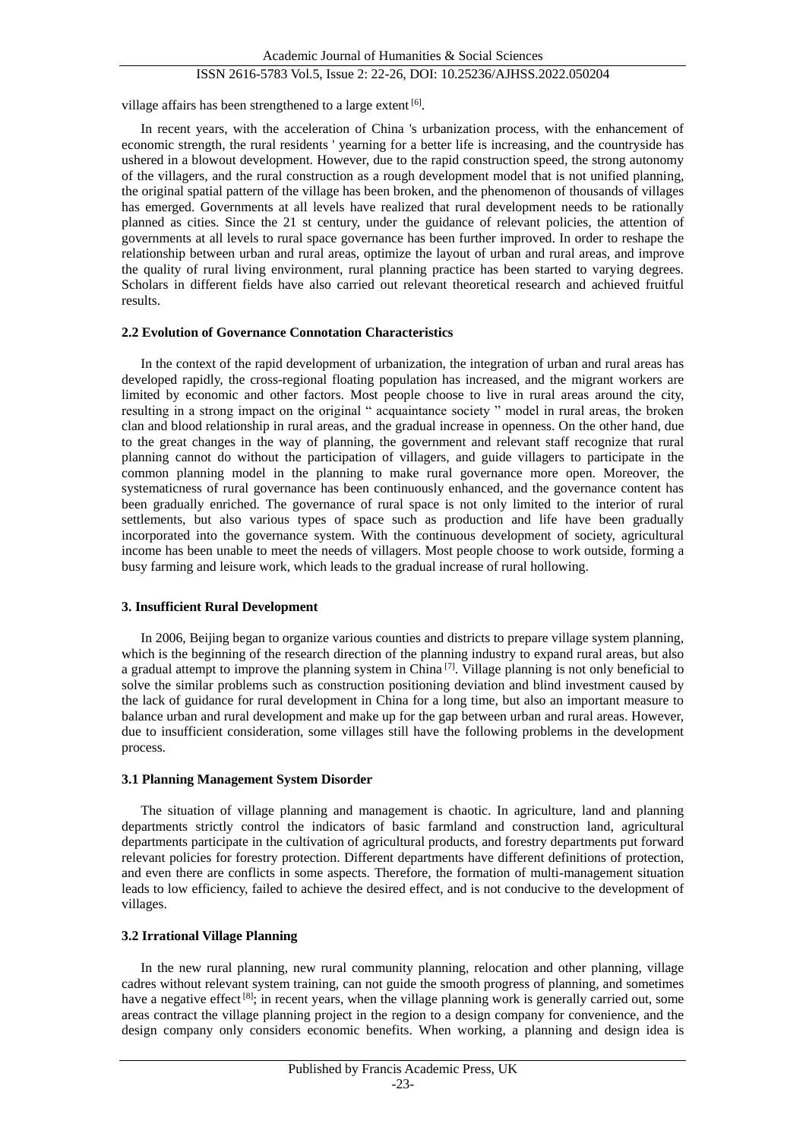## ISSN 2616-5783 Vol.5, Issue 2: 22-26, DOI: 10.25236/AJHSS.2022.050204

village affairs has been strengthened to a large extent  $[6]$ .

In recent years, with the acceleration of China 's urbanization process, with the enhancement of economic strength, the rural residents ' yearning for a better life is increasing, and the countryside has ushered in a blowout development. However, due to the rapid construction speed, the strong autonomy of the villagers, and the rural construction as a rough development model that is not unified planning, the original spatial pattern of the village has been broken, and the phenomenon of thousands of villages has emerged. Governments at all levels have realized that rural development needs to be rationally planned as cities. Since the 21 st century, under the guidance of relevant policies, the attention of governments at all levels to rural space governance has been further improved. In order to reshape the relationship between urban and rural areas, optimize the layout of urban and rural areas, and improve the quality of rural living environment, rural planning practice has been started to varying degrees. Scholars in different fields have also carried out relevant theoretical research and achieved fruitful results.

#### **2.2 Evolution of Governance Connotation Characteristics**

In the context of the rapid development of urbanization, the integration of urban and rural areas has developed rapidly, the cross-regional floating population has increased, and the migrant workers are limited by economic and other factors. Most people choose to live in rural areas around the city, resulting in a strong impact on the original " acquaintance society " model in rural areas, the broken clan and blood relationship in rural areas, and the gradual increase in openness. On the other hand, due to the great changes in the way of planning, the government and relevant staff recognize that rural planning cannot do without the participation of villagers, and guide villagers to participate in the common planning model in the planning to make rural governance more open. Moreover, the systematicness of rural governance has been continuously enhanced, and the governance content has been gradually enriched. The governance of rural space is not only limited to the interior of rural settlements, but also various types of space such as production and life have been gradually incorporated into the governance system. With the continuous development of society, agricultural income has been unable to meet the needs of villagers. Most people choose to work outside, forming a busy farming and leisure work, which leads to the gradual increase of rural hollowing.

#### **3. Insufficient Rural Development**

In 2006, Beijing began to organize various counties and districts to prepare village system planning, which is the beginning of the research direction of the planning industry to expand rural areas, but also a gradual attempt to improve the planning system in China<sup>[7]</sup>. Village planning is not only beneficial to solve the similar problems such as construction positioning deviation and blind investment caused by the lack of guidance for rural development in China for a long time, but also an important measure to balance urban and rural development and make up for the gap between urban and rural areas. However, due to insufficient consideration, some villages still have the following problems in the development process.

#### **3.1 Planning Management System Disorder**

The situation of village planning and management is chaotic. In agriculture, land and planning departments strictly control the indicators of basic farmland and construction land, agricultural departments participate in the cultivation of agricultural products, and forestry departments put forward relevant policies for forestry protection. Different departments have different definitions of protection, and even there are conflicts in some aspects. Therefore, the formation of multi-management situation leads to low efficiency, failed to achieve the desired effect, and is not conducive to the development of villages.

#### **3.2 Irrational Village Planning**

In the new rural planning, new rural community planning, relocation and other planning, village cadres without relevant system training, can not guide the smooth progress of planning, and sometimes have a negative effect [8]; in recent years, when the village planning work is generally carried out, some areas contract the village planning project in the region to a design company for convenience, and the design company only considers economic benefits. When working, a planning and design idea is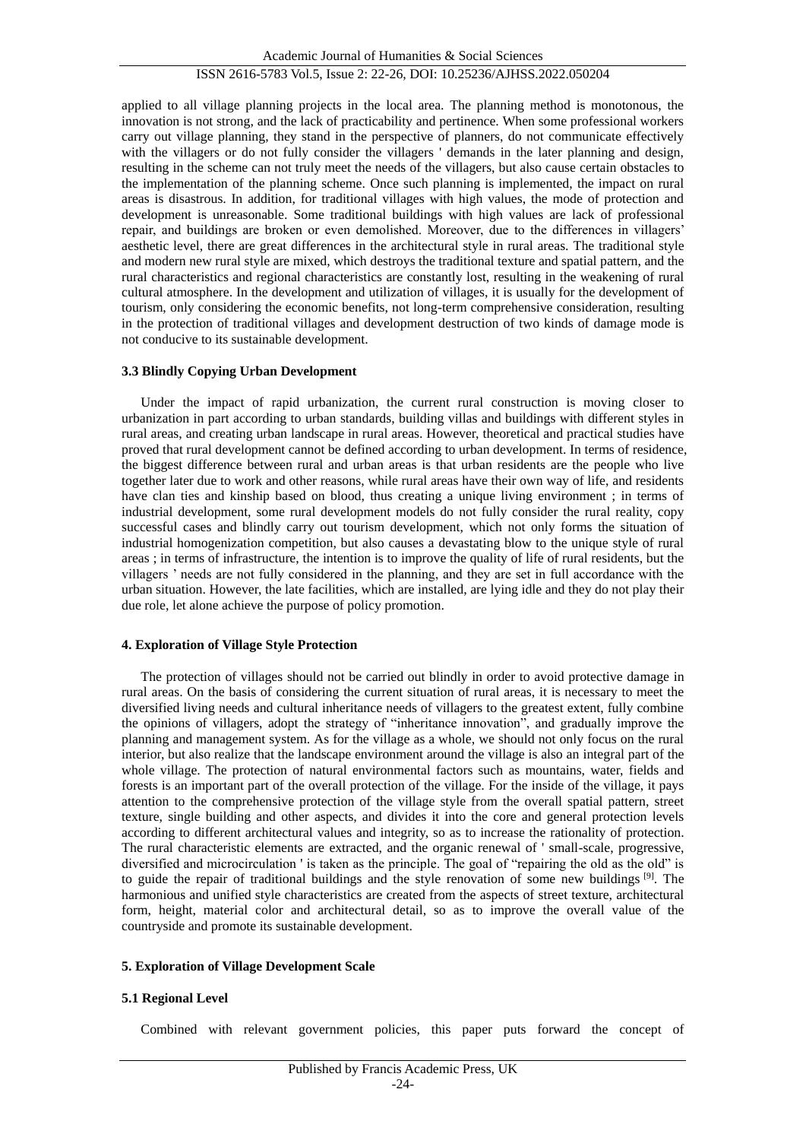applied to all village planning projects in the local area. The planning method is monotonous, the innovation is not strong, and the lack of practicability and pertinence. When some professional workers carry out village planning, they stand in the perspective of planners, do not communicate effectively with the villagers or do not fully consider the villagers ' demands in the later planning and design, resulting in the scheme can not truly meet the needs of the villagers, but also cause certain obstacles to the implementation of the planning scheme. Once such planning is implemented, the impact on rural areas is disastrous. In addition, for traditional villages with high values, the mode of protection and development is unreasonable. Some traditional buildings with high values are lack of professional repair, and buildings are broken or even demolished. Moreover, due to the differences in villagers' aesthetic level, there are great differences in the architectural style in rural areas. The traditional style and modern new rural style are mixed, which destroys the traditional texture and spatial pattern, and the rural characteristics and regional characteristics are constantly lost, resulting in the weakening of rural cultural atmosphere. In the development and utilization of villages, it is usually for the development of tourism, only considering the economic benefits, not long-term comprehensive consideration, resulting in the protection of traditional villages and development destruction of two kinds of damage mode is not conducive to its sustainable development.

#### **3.3 Blindly Copying Urban Development**

Under the impact of rapid urbanization, the current rural construction is moving closer to urbanization in part according to urban standards, building villas and buildings with different styles in rural areas, and creating urban landscape in rural areas. However, theoretical and practical studies have proved that rural development cannot be defined according to urban development. In terms of residence, the biggest difference between rural and urban areas is that urban residents are the people who live together later due to work and other reasons, while rural areas have their own way of life, and residents have clan ties and kinship based on blood, thus creating a unique living environment ; in terms of industrial development, some rural development models do not fully consider the rural reality, copy successful cases and blindly carry out tourism development, which not only forms the situation of industrial homogenization competition, but also causes a devastating blow to the unique style of rural areas ; in terms of infrastructure, the intention is to improve the quality of life of rural residents, but the villagers ' needs are not fully considered in the planning, and they are set in full accordance with the urban situation. However, the late facilities, which are installed, are lying idle and they do not play their due role, let alone achieve the purpose of policy promotion.

#### **4. Exploration of Village Style Protection**

The protection of villages should not be carried out blindly in order to avoid protective damage in rural areas. On the basis of considering the current situation of rural areas, it is necessary to meet the diversified living needs and cultural inheritance needs of villagers to the greatest extent, fully combine the opinions of villagers, adopt the strategy of "inheritance innovation", and gradually improve the planning and management system. As for the village as a whole, we should not only focus on the rural interior, but also realize that the landscape environment around the village is also an integral part of the whole village. The protection of natural environmental factors such as mountains, water, fields and forests is an important part of the overall protection of the village. For the inside of the village, it pays attention to the comprehensive protection of the village style from the overall spatial pattern, street texture, single building and other aspects, and divides it into the core and general protection levels according to different architectural values and integrity, so as to increase the rationality of protection. The rural characteristic elements are extracted, and the organic renewal of ' small-scale, progressive, diversified and microcirculation ' is taken as the principle. The goal of "repairing the old as the old" is to guide the repair of traditional buildings and the style renovation of some new buildings [9]. The harmonious and unified style characteristics are created from the aspects of street texture, architectural form, height, material color and architectural detail, so as to improve the overall value of the countryside and promote its sustainable development.

#### **5. Exploration of Village Development Scale**

#### **5.1 Regional Level**

Combined with relevant government policies, this paper puts forward the concept of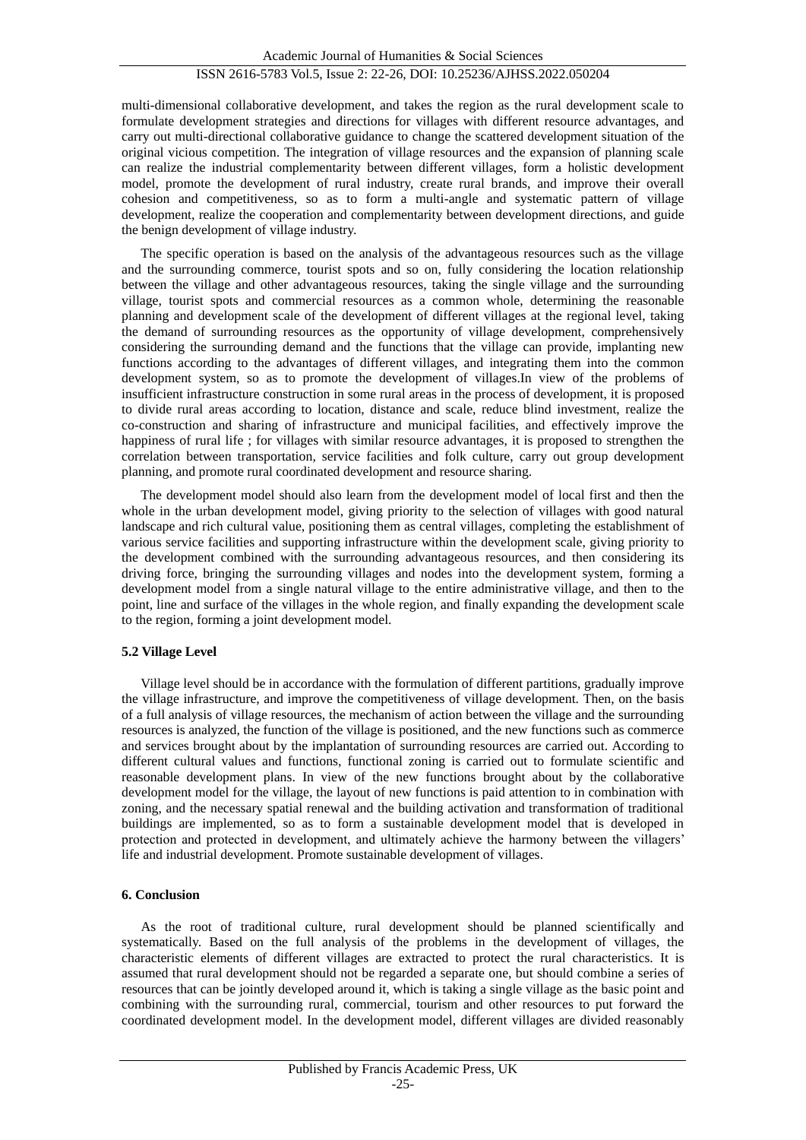multi-dimensional collaborative development, and takes the region as the rural development scale to formulate development strategies and directions for villages with different resource advantages, and carry out multi-directional collaborative guidance to change the scattered development situation of the original vicious competition. The integration of village resources and the expansion of planning scale can realize the industrial complementarity between different villages, form a holistic development model, promote the development of rural industry, create rural brands, and improve their overall cohesion and competitiveness, so as to form a multi-angle and systematic pattern of village development, realize the cooperation and complementarity between development directions, and guide the benign development of village industry.

The specific operation is based on the analysis of the advantageous resources such as the village and the surrounding commerce, tourist spots and so on, fully considering the location relationship between the village and other advantageous resources, taking the single village and the surrounding village, tourist spots and commercial resources as a common whole, determining the reasonable planning and development scale of the development of different villages at the regional level, taking the demand of surrounding resources as the opportunity of village development, comprehensively considering the surrounding demand and the functions that the village can provide, implanting new functions according to the advantages of different villages, and integrating them into the common development system, so as to promote the development of villages.In view of the problems of insufficient infrastructure construction in some rural areas in the process of development, it is proposed to divide rural areas according to location, distance and scale, reduce blind investment, realize the co-construction and sharing of infrastructure and municipal facilities, and effectively improve the happiness of rural life ; for villages with similar resource advantages, it is proposed to strengthen the correlation between transportation, service facilities and folk culture, carry out group development planning, and promote rural coordinated development and resource sharing.

The development model should also learn from the development model of local first and then the whole in the urban development model, giving priority to the selection of villages with good natural landscape and rich cultural value, positioning them as central villages, completing the establishment of various service facilities and supporting infrastructure within the development scale, giving priority to the development combined with the surrounding advantageous resources, and then considering its driving force, bringing the surrounding villages and nodes into the development system, forming a development model from a single natural village to the entire administrative village, and then to the point, line and surface of the villages in the whole region, and finally expanding the development scale to the region, forming a joint development model.

### **5.2 Village Level**

Village level should be in accordance with the formulation of different partitions, gradually improve the village infrastructure, and improve the competitiveness of village development. Then, on the basis of a full analysis of village resources, the mechanism of action between the village and the surrounding resources is analyzed, the function of the village is positioned, and the new functions such as commerce and services brought about by the implantation of surrounding resources are carried out. According to different cultural values and functions, functional zoning is carried out to formulate scientific and reasonable development plans. In view of the new functions brought about by the collaborative development model for the village, the layout of new functions is paid attention to in combination with zoning, and the necessary spatial renewal and the building activation and transformation of traditional buildings are implemented, so as to form a sustainable development model that is developed in protection and protected in development, and ultimately achieve the harmony between the villagers' life and industrial development. Promote sustainable development of villages.

#### **6. Conclusion**

As the root of traditional culture, rural development should be planned scientifically and systematically. Based on the full analysis of the problems in the development of villages, the characteristic elements of different villages are extracted to protect the rural characteristics. It is assumed that rural development should not be regarded a separate one, but should combine a series of resources that can be jointly developed around it, which is taking a single village as the basic point and combining with the surrounding rural, commercial, tourism and other resources to put forward the coordinated development model. In the development model, different villages are divided reasonably